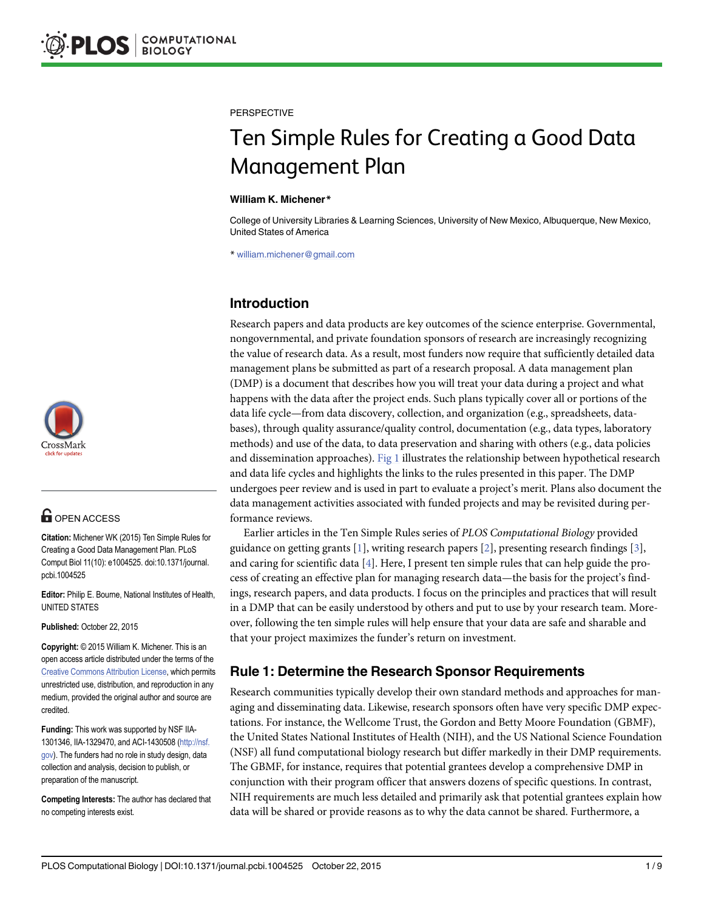

# **G** OPEN ACCESS

Citation: Michener WK (2015) Ten Simple Rules for Creating a Good Data Management Plan. PLoS Comput Biol 11(10): e1004525. doi:10.1371/journal. pcbi.1004525

Editor: Philip E. Bourne, National Institutes of Health, UNITED STATES

Published: October 22, 2015

Copyright: © 2015 William K. Michener. This is an open access article distributed under the terms of the [Creative Commons Attribution License,](http://creativecommons.org/licenses/by/4.0/) which permits unrestricted use, distribution, and reproduction in any medium, provided the original author and source are credited.

Funding: This work was supported by NSF IIA-1301346, IIA-1329470, and ACI-1430508 ([http://nsf.](http://nsf.gov) [gov](http://nsf.gov)). The funders had no role in study design, data collection and analysis, decision to publish, or preparation of the manuscript.

Competing Interests: The author has declared that no competing interests exist.

<span id="page-0-0"></span>**PERSPECTIVE** 

# Ten Simple Rules for Creating a Good Data Management Plan

#### William K. Michener\*

College of University Libraries & Learning Sciences, University of New Mexico, Albuquerque, New Mexico, United States of America

\* william.michener@gmail.com

# Introduction

Research papers and data products are key outcomes of the science enterprise. Governmental, nongovernmental, and private foundation sponsors of research are increasingly recognizing the value of research data. As a result, most funders now require that sufficiently detailed data management plans be submitted as part of a research proposal. A data management plan (DMP) is a document that describes how you will treat your data during a project and what happens with the data after the project ends. Such plans typically cover all or portions of the data life cycle—from data discovery, collection, and organization (e.g., spreadsheets, databases), through quality assurance/quality control, documentation (e.g., data types, laboratory methods) and use of the data, to data preservation and sharing with others (e.g., data policies and dissemination approaches). [Fig 1](#page-1-0) illustrates the relationship between hypothetical research and data life cycles and highlights the links to the rules presented in this paper. The DMP undergoes peer review and is used in part to evaluate a project's merit. Plans also document the data management activities associated with funded projects and may be revisited during performance reviews.

Earlier articles in the Ten Simple Rules series of PLOS Computational Biology provided guidance on getting grants [[1](#page-7-0)], writing research papers [\[2](#page-7-0)], presenting research findings [[3](#page-8-0)], and caring for scientific data  $[4]$ . Here, I present ten simple rules that can help guide the process of creating an effective plan for managing research data—the basis for the project's findings, research papers, and data products. I focus on the principles and practices that will result in a DMP that can be easily understood by others and put to use by your research team. Moreover, following the ten simple rules will help ensure that your data are safe and sharable and that your project maximizes the funder's return on investment.

#### Rule 1: Determine the Research Sponsor Requirements

Research communities typically develop their own standard methods and approaches for managing and disseminating data. Likewise, research sponsors often have very specific DMP expectations. For instance, the Wellcome Trust, the Gordon and Betty Moore Foundation (GBMF), the United States National Institutes of Health (NIH), and the US National Science Foundation (NSF) all fund computational biology research but differ markedly in their DMP requirements. The GBMF, for instance, requires that potential grantees develop a comprehensive DMP in conjunction with their program officer that answers dozens of specific questions. In contrast, NIH requirements are much less detailed and primarily ask that potential grantees explain how data will be shared or provide reasons as to why the data cannot be shared. Furthermore, a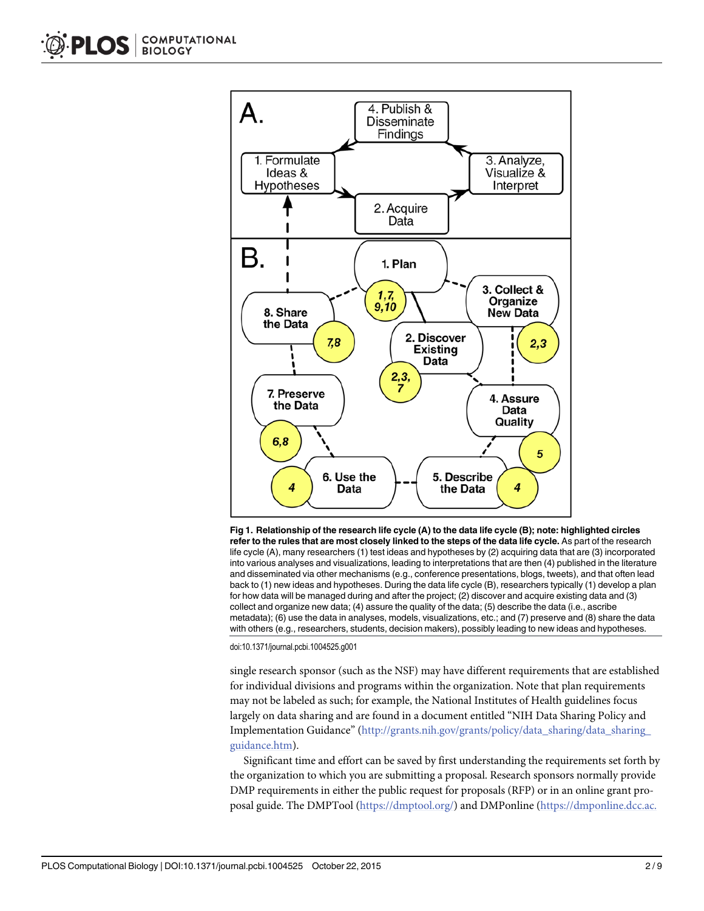<span id="page-1-0"></span>

[Fig 1. R](#page-0-0)elationship of the research life cycle (A) to the data life cycle (B); note: highlighted circles refer to the rules that are most closely linked to the steps of the data life cycle. As part of the research life cycle (A), many researchers (1) test ideas and hypotheses by (2) acquiring data that are (3) incorporated into various analyses and visualizations, leading to interpretations that are then (4) published in the literature and disseminated via other mechanisms (e.g., conference presentations, blogs, tweets), and that often lead back to (1) new ideas and hypotheses. During the data life cycle (B), researchers typically (1) develop a plan for how data will be managed during and after the project; (2) discover and acquire existing data and (3) collect and organize new data; (4) assure the quality of the data; (5) describe the data (i.e., ascribe metadata); (6) use the data in analyses, models, visualizations, etc.; and (7) preserve and (8) share the data with others (e.g., researchers, students, decision makers), possibly leading to new ideas and hypotheses.

doi:10.1371/journal.pcbi.1004525.g001

single research sponsor (such as the NSF) may have different requirements that are established for individual divisions and programs within the organization. Note that plan requirements may not be labeled as such; for example, the National Institutes of Health guidelines focus largely on data sharing and are found in a document entitled "NIH Data Sharing Policy and Implementation Guidance" ([http://grants.nih.gov/grants/policy/data\\_sharing/data\\_sharing\\_](http://grants.nih.gov/grants/policy/data_sharing/data_sharing_guidance.htm) [guidance.htm](http://grants.nih.gov/grants/policy/data_sharing/data_sharing_guidance.htm)).

Significant time and effort can be saved by first understanding the requirements set forth by the organization to which you are submitting a proposal. Research sponsors normally provide DMP requirements in either the public request for proposals (RFP) or in an online grant proposal guide. The DMPTool [\(https://dmptool.org/\)](https://dmptool.org/) and DMPonline [\(https://dmponline.dcc.ac.](https://dmponline.dcc.ac.uk/)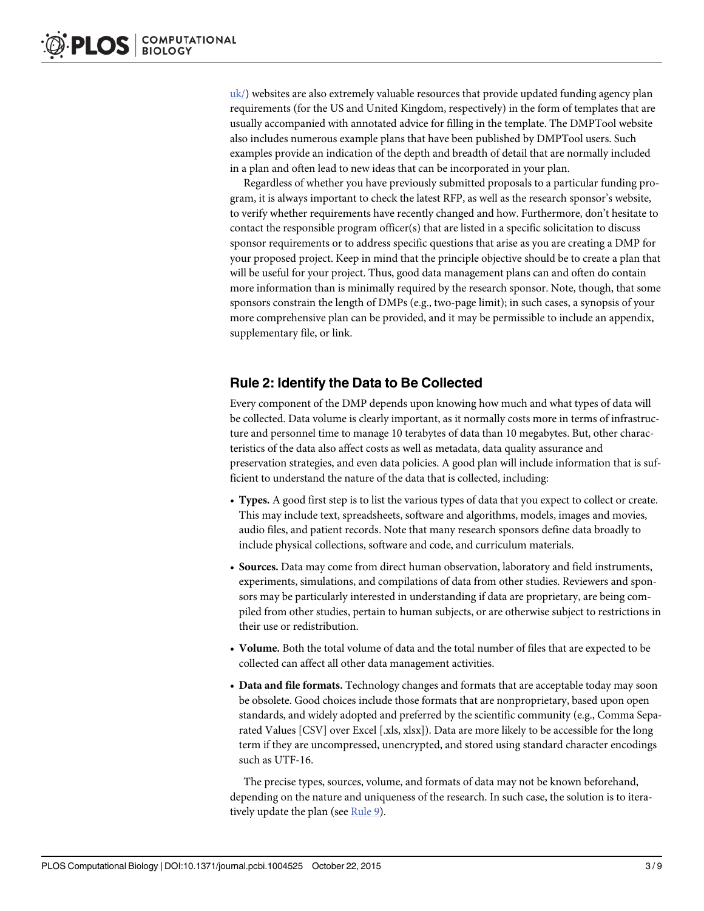[uk/](https://dmponline.dcc.ac.uk/)) websites are also extremely valuable resources that provide updated funding agency plan requirements (for the US and United Kingdom, respectively) in the form of templates that are usually accompanied with annotated advice for filling in the template. The DMPTool website also includes numerous example plans that have been published by DMPTool users. Such examples provide an indication of the depth and breadth of detail that are normally included in a plan and often lead to new ideas that can be incorporated in your plan.

Regardless of whether you have previously submitted proposals to a particular funding program, it is always important to check the latest RFP, as well as the research sponsor's website, to verify whether requirements have recently changed and how. Furthermore, don't hesitate to contact the responsible program officer(s) that are listed in a specific solicitation to discuss sponsor requirements or to address specific questions that arise as you are creating a DMP for your proposed project. Keep in mind that the principle objective should be to create a plan that will be useful for your project. Thus, good data management plans can and often do contain more information than is minimally required by the research sponsor. Note, though, that some sponsors constrain the length of DMPs (e.g., two-page limit); in such cases, a synopsis of your more comprehensive plan can be provided, and it may be permissible to include an appendix, supplementary file, or link.

# Rule 2: Identify the Data to Be Collected

Every component of the DMP depends upon knowing how much and what types of data will be collected. Data volume is clearly important, as it normally costs more in terms of infrastructure and personnel time to manage 10 terabytes of data than 10 megabytes. But, other characteristics of the data also affect costs as well as metadata, data quality assurance and preservation strategies, and even data policies. A good plan will include information that is sufficient to understand the nature of the data that is collected, including:

- Types. A good first step is to list the various types of data that you expect to collect or create. This may include text, spreadsheets, software and algorithms, models, images and movies, audio files, and patient records. Note that many research sponsors define data broadly to include physical collections, software and code, and curriculum materials.
- Sources. Data may come from direct human observation, laboratory and field instruments, experiments, simulations, and compilations of data from other studies. Reviewers and sponsors may be particularly interested in understanding if data are proprietary, are being compiled from other studies, pertain to human subjects, or are otherwise subject to restrictions in their use or redistribution.
- Volume. Both the total volume of data and the total number of files that are expected to be collected can affect all other data management activities.
- Data and file formats. Technology changes and formats that are acceptable today may soon be obsolete. Good choices include those formats that are nonproprietary, based upon open standards, and widely adopted and preferred by the scientific community (e.g., Comma Separated Values [CSV] over Excel [.xls, xlsx]). Data are more likely to be accessible for the long term if they are uncompressed, unencrypted, and stored using standard character encodings such as UTF-16.

The precise types, sources, volume, and formats of data may not be known beforehand, depending on the nature and uniqueness of the research. In such case, the solution is to itera-tively update the plan (see [Rule 9](#page-6-0)).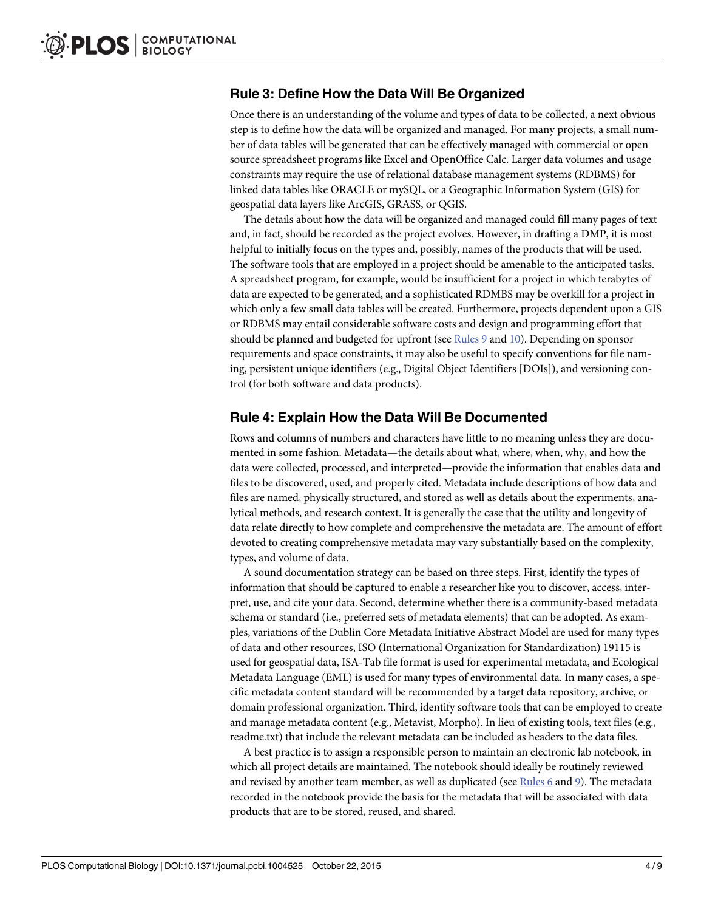#### <span id="page-3-0"></span>Rule 3: Define How the Data Will Be Organized

Once there is an understanding of the volume and types of data to be collected, a next obvious step is to define how the data will be organized and managed. For many projects, a small number of data tables will be generated that can be effectively managed with commercial or open source spreadsheet programs like Excel and OpenOffice Calc. Larger data volumes and usage constraints may require the use of relational database management systems (RDBMS) for linked data tables like ORACLE or mySQL, or a Geographic Information System (GIS) for geospatial data layers like ArcGIS, GRASS, or QGIS.

The details about how the data will be organized and managed could fill many pages of text and, in fact, should be recorded as the project evolves. However, in drafting a DMP, it is most helpful to initially focus on the types and, possibly, names of the products that will be used. The software tools that are employed in a project should be amenable to the anticipated tasks. A spreadsheet program, for example, would be insufficient for a project in which terabytes of data are expected to be generated, and a sophisticated RDMBS may be overkill for a project in which only a few small data tables will be created. Furthermore, projects dependent upon a GIS or RDBMS may entail considerable software costs and design and programming effort that should be planned and budgeted for upfront (see [Rules 9](#page-6-0) and  $10$ ). Depending on sponsor requirements and space constraints, it may also be useful to specify conventions for file naming, persistent unique identifiers (e.g., Digital Object Identifiers [DOIs]), and versioning control (for both software and data products).

#### Rule 4: Explain How the Data Will Be Documented

Rows and columns of numbers and characters have little to no meaning unless they are documented in some fashion. Metadata—the details about what, where, when, why, and how the data were collected, processed, and interpreted—provide the information that enables data and files to be discovered, used, and properly cited. Metadata include descriptions of how data and files are named, physically structured, and stored as well as details about the experiments, analytical methods, and research context. It is generally the case that the utility and longevity of data relate directly to how complete and comprehensive the metadata are. The amount of effort devoted to creating comprehensive metadata may vary substantially based on the complexity, types, and volume of data.

A sound documentation strategy can be based on three steps. First, identify the types of information that should be captured to enable a researcher like you to discover, access, interpret, use, and cite your data. Second, determine whether there is a community-based metadata schema or standard (i.e., preferred sets of metadata elements) that can be adopted. As examples, variations of the Dublin Core Metadata Initiative Abstract Model are used for many types of data and other resources, ISO (International Organization for Standardization) 19115 is used for geospatial data, ISA-Tab file format is used for experimental metadata, and Ecological Metadata Language (EML) is used for many types of environmental data. In many cases, a specific metadata content standard will be recommended by a target data repository, archive, or domain professional organization. Third, identify software tools that can be employed to create and manage metadata content (e.g., Metavist, Morpho). In lieu of existing tools, text files (e.g., readme.txt) that include the relevant metadata can be included as headers to the data files.

A best practice is to assign a responsible person to maintain an electronic lab notebook, in which all project details are maintained. The notebook should ideally be routinely reviewed and revised by another team member, as well as duplicated (see [Rules 6](#page-4-0) and [9](#page-6-0)). The metadata recorded in the notebook provide the basis for the metadata that will be associated with data products that are to be stored, reused, and shared.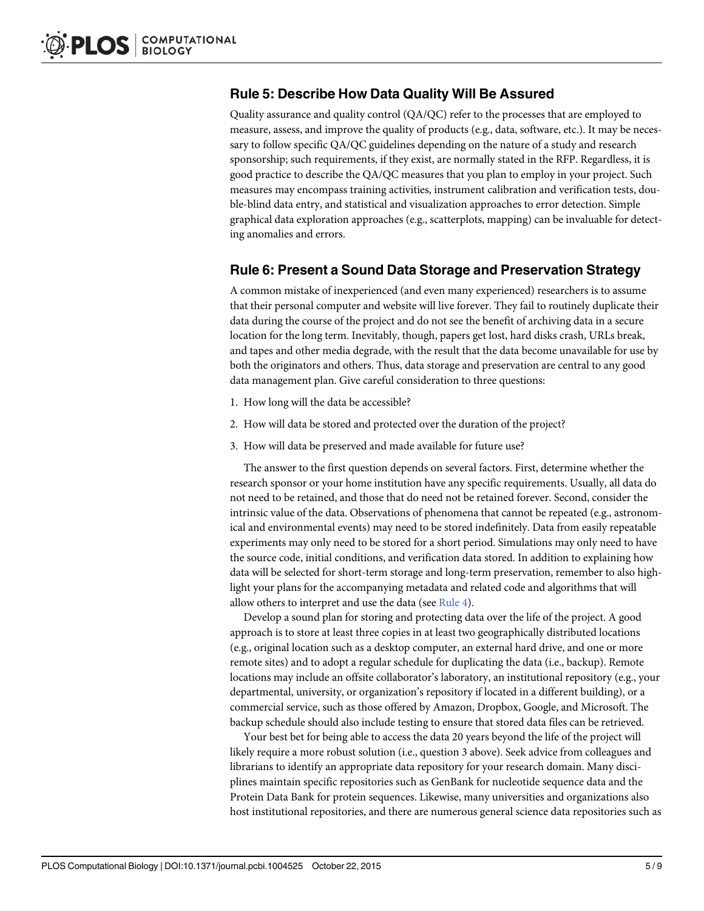#### <span id="page-4-0"></span>Rule 5: Describe How Data Quality Will Be Assured

Quality assurance and quality control (QA/QC) refer to the processes that are employed to measure, assess, and improve the quality of products (e.g., data, software, etc.). It may be necessary to follow specific QA/QC guidelines depending on the nature of a study and research sponsorship; such requirements, if they exist, are normally stated in the RFP. Regardless, it is good practice to describe the QA/QC measures that you plan to employ in your project. Such measures may encompass training activities, instrument calibration and verification tests, double-blind data entry, and statistical and visualization approaches to error detection. Simple graphical data exploration approaches (e.g., scatterplots, mapping) can be invaluable for detecting anomalies and errors.

#### Rule 6: Present a Sound Data Storage and Preservation Strategy

A common mistake of inexperienced (and even many experienced) researchers is to assume that their personal computer and website will live forever. They fail to routinely duplicate their data during the course of the project and do not see the benefit of archiving data in a secure location for the long term. Inevitably, though, papers get lost, hard disks crash, URLs break, and tapes and other media degrade, with the result that the data become unavailable for use by both the originators and others. Thus, data storage and preservation are central to any good data management plan. Give careful consideration to three questions:

- 1. How long will the data be accessible?
- 2. How will data be stored and protected over the duration of the project?
- 3. How will data be preserved and made available for future use?

The answer to the first question depends on several factors. First, determine whether the research sponsor or your home institution have any specific requirements. Usually, all data do not need to be retained, and those that do need not be retained forever. Second, consider the intrinsic value of the data. Observations of phenomena that cannot be repeated (e.g., astronomical and environmental events) may need to be stored indefinitely. Data from easily repeatable experiments may only need to be stored for a short period. Simulations may only need to have the source code, initial conditions, and verification data stored. In addition to explaining how data will be selected for short-term storage and long-term preservation, remember to also highlight your plans for the accompanying metadata and related code and algorithms that will allow others to interpret and use the data (see [Rule 4\)](#page-3-0).

Develop a sound plan for storing and protecting data over the life of the project. A good approach is to store at least three copies in at least two geographically distributed locations (e.g., original location such as a desktop computer, an external hard drive, and one or more remote sites) and to adopt a regular schedule for duplicating the data (i.e., backup). Remote locations may include an offsite collaborator's laboratory, an institutional repository (e.g., your departmental, university, or organization's repository if located in a different building), or a commercial service, such as those offered by Amazon, Dropbox, Google, and Microsoft. The backup schedule should also include testing to ensure that stored data files can be retrieved.

Your best bet for being able to access the data 20 years beyond the life of the project will likely require a more robust solution (i.e., question 3 above). Seek advice from colleagues and librarians to identify an appropriate data repository for your research domain. Many disciplines maintain specific repositories such as GenBank for nucleotide sequence data and the Protein Data Bank for protein sequences. Likewise, many universities and organizations also host institutional repositories, and there are numerous general science data repositories such as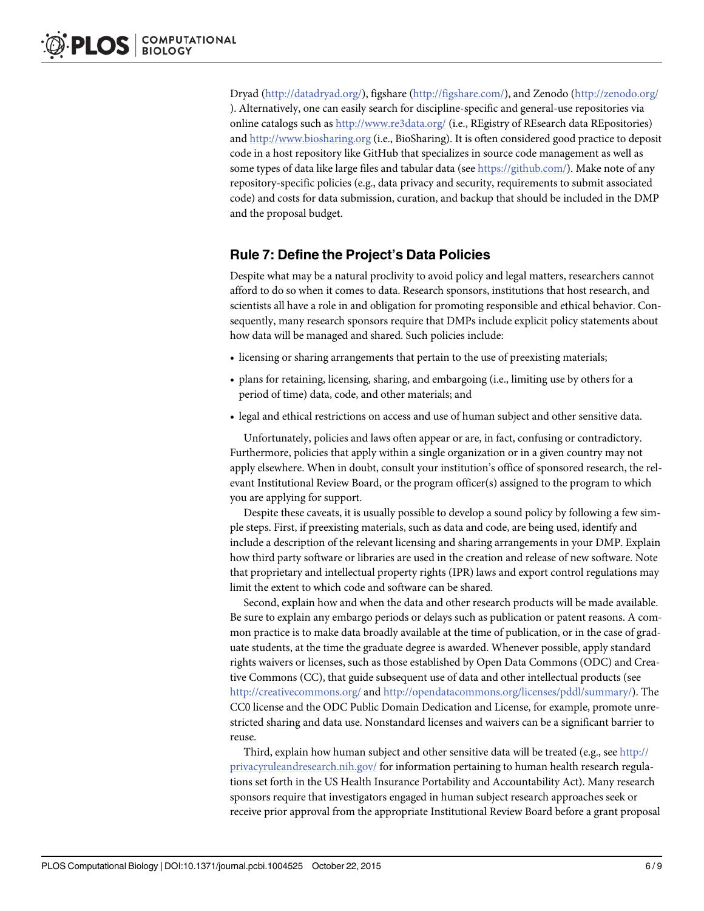Dryad ([http://datadryad.org/\)](http://datadryad.org/), figshare [\(http://figshare.com/\)](http://figshare.com/), and Zenodo [\(http://zenodo.org/](http://zenodo.org/) ). Alternatively, one can easily search for discipline-specific and general-use repositories via online catalogs such as <http://www.re3data.org/> (i.e., REgistry of REsearch data REpositories) and [http://www.biosharing.org](http://www.biosharing.org/) (i.e., BioSharing). It is often considered good practice to deposit code in a host repository like GitHub that specializes in source code management as well as some types of data like large files and tabular data (see <https://github.com/>). Make note of any repository-specific policies (e.g., data privacy and security, requirements to submit associated code) and costs for data submission, curation, and backup that should be included in the DMP and the proposal budget.

# Rule 7: Define the Project's Data Policies

Despite what may be a natural proclivity to avoid policy and legal matters, researchers cannot afford to do so when it comes to data. Research sponsors, institutions that host research, and scientists all have a role in and obligation for promoting responsible and ethical behavior. Consequently, many research sponsors require that DMPs include explicit policy statements about how data will be managed and shared. Such policies include:

- licensing or sharing arrangements that pertain to the use of preexisting materials;
- plans for retaining, licensing, sharing, and embargoing (i.e., limiting use by others for a period of time) data, code, and other materials; and
- legal and ethical restrictions on access and use of human subject and other sensitive data.

Unfortunately, policies and laws often appear or are, in fact, confusing or contradictory. Furthermore, policies that apply within a single organization or in a given country may not apply elsewhere. When in doubt, consult your institution's office of sponsored research, the relevant Institutional Review Board, or the program officer(s) assigned to the program to which you are applying for support.

Despite these caveats, it is usually possible to develop a sound policy by following a few simple steps. First, if preexisting materials, such as data and code, are being used, identify and include a description of the relevant licensing and sharing arrangements in your DMP. Explain how third party software or libraries are used in the creation and release of new software. Note that proprietary and intellectual property rights (IPR) laws and export control regulations may limit the extent to which code and software can be shared.

Second, explain how and when the data and other research products will be made available. Be sure to explain any embargo periods or delays such as publication or patent reasons. A common practice is to make data broadly available at the time of publication, or in the case of graduate students, at the time the graduate degree is awarded. Whenever possible, apply standard rights waivers or licenses, such as those established by Open Data Commons (ODC) and Creative Commons (CC), that guide subsequent use of data and other intellectual products (see <http://creativecommons.org/> and [http://opendatacommons.org/licenses/pddl/summary/\)](http://opendatacommons.org/licenses/pddl/summary/). The CC0 license and the ODC Public Domain Dedication and License, for example, promote unrestricted sharing and data use. Nonstandard licenses and waivers can be a significant barrier to reuse.

Third, explain how human subject and other sensitive data will be treated (e.g., see  $\frac{\text{http://}}{\text{http://}}$  $\frac{\text{http://}}{\text{http://}}$  $\frac{\text{http://}}{\text{http://}}$ [privacyruleandresearch.nih.gov/](http://privacyruleandresearch.nih.gov/) for information pertaining to human health research regulations set forth in the US Health Insurance Portability and Accountability Act). Many research sponsors require that investigators engaged in human subject research approaches seek or receive prior approval from the appropriate Institutional Review Board before a grant proposal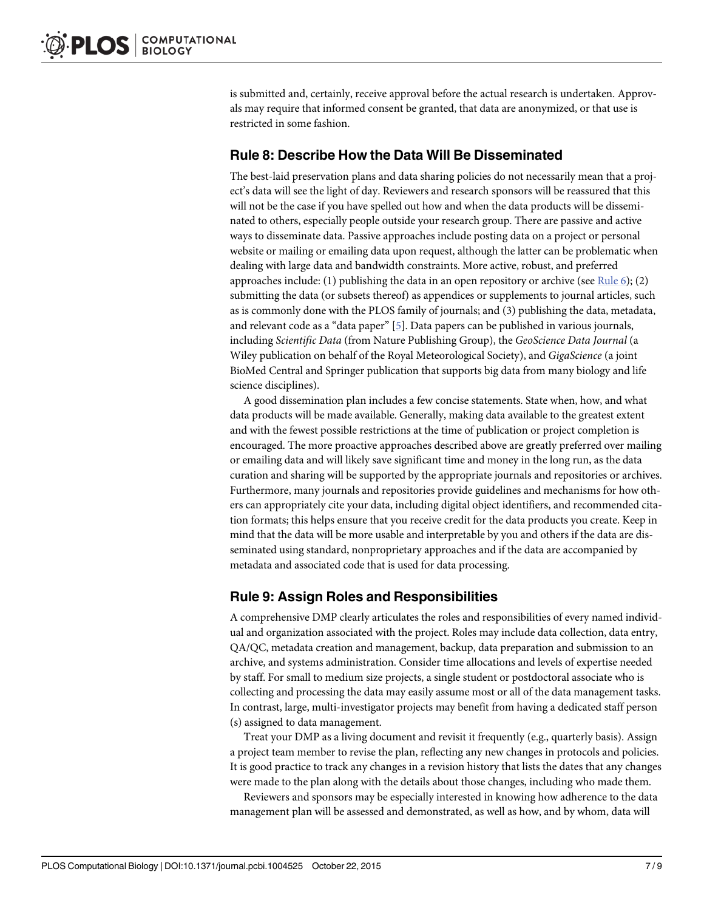<span id="page-6-0"></span>is submitted and, certainly, receive approval before the actual research is undertaken. Approvals may require that informed consent be granted, that data are anonymized, or that use is restricted in some fashion.

#### Rule 8: Describe How the Data Will Be Disseminated

The best-laid preservation plans and data sharing policies do not necessarily mean that a project's data will see the light of day. Reviewers and research sponsors will be reassured that this will not be the case if you have spelled out how and when the data products will be disseminated to others, especially people outside your research group. There are passive and active ways to disseminate data. Passive approaches include posting data on a project or personal website or mailing or emailing data upon request, although the latter can be problematic when dealing with large data and bandwidth constraints. More active, robust, and preferred approaches include: (1) publishing the data in an open repository or archive (see Rule  $6$ ); (2) submitting the data (or subsets thereof) as appendices or supplements to journal articles, such as is commonly done with the PLOS family of journals; and (3) publishing the data, metadata, and relevant code as a "data paper" [\[5](#page-8-0)]. Data papers can be published in various journals, including Scientific Data (from Nature Publishing Group), the GeoScience Data Journal (a Wiley publication on behalf of the Royal Meteorological Society), and GigaScience (a joint BioMed Central and Springer publication that supports big data from many biology and life science disciplines).

A good dissemination plan includes a few concise statements. State when, how, and what data products will be made available. Generally, making data available to the greatest extent and with the fewest possible restrictions at the time of publication or project completion is encouraged. The more proactive approaches described above are greatly preferred over mailing or emailing data and will likely save significant time and money in the long run, as the data curation and sharing will be supported by the appropriate journals and repositories or archives. Furthermore, many journals and repositories provide guidelines and mechanisms for how others can appropriately cite your data, including digital object identifiers, and recommended citation formats; this helps ensure that you receive credit for the data products you create. Keep in mind that the data will be more usable and interpretable by you and others if the data are disseminated using standard, nonproprietary approaches and if the data are accompanied by metadata and associated code that is used for data processing.

#### Rule 9: Assign Roles and Responsibilities

A comprehensive DMP clearly articulates the roles and responsibilities of every named individual and organization associated with the project. Roles may include data collection, data entry, QA/QC, metadata creation and management, backup, data preparation and submission to an archive, and systems administration. Consider time allocations and levels of expertise needed by staff. For small to medium size projects, a single student or postdoctoral associate who is collecting and processing the data may easily assume most or all of the data management tasks. In contrast, large, multi-investigator projects may benefit from having a dedicated staff person (s) assigned to data management.

Treat your DMP as a living document and revisit it frequently (e.g., quarterly basis). Assign a project team member to revise the plan, reflecting any new changes in protocols and policies. It is good practice to track any changes in a revision history that lists the dates that any changes were made to the plan along with the details about those changes, including who made them.

Reviewers and sponsors may be especially interested in knowing how adherence to the data management plan will be assessed and demonstrated, as well as how, and by whom, data will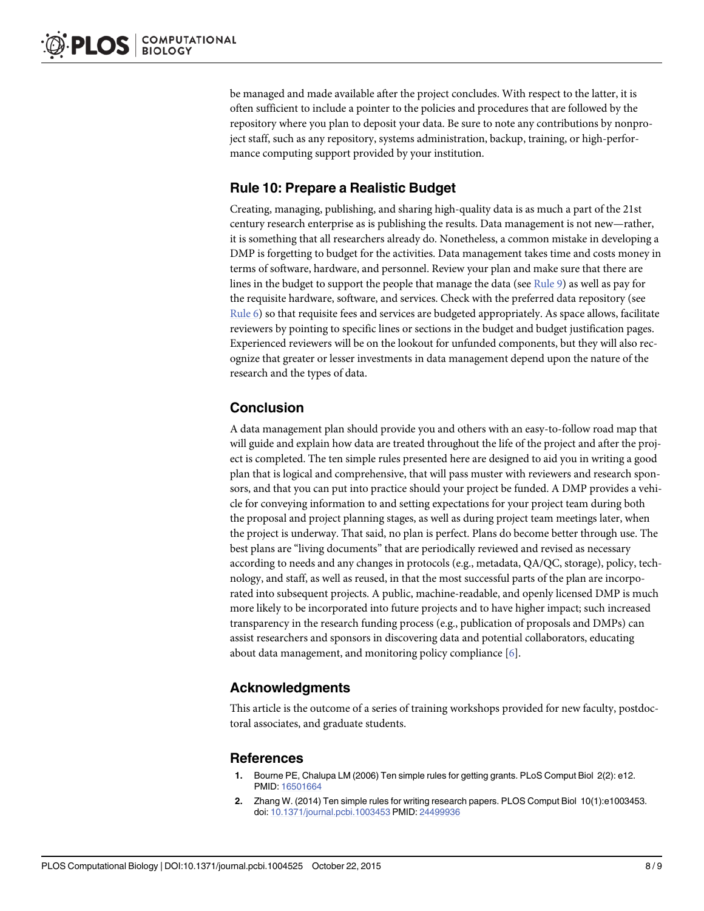<span id="page-7-0"></span>be managed and made available after the project concludes. With respect to the latter, it is often sufficient to include a pointer to the policies and procedures that are followed by the repository where you plan to deposit your data. Be sure to note any contributions by nonproject staff, such as any repository, systems administration, backup, training, or high-performance computing support provided by your institution.

# Rule 10: Prepare a Realistic Budget

Creating, managing, publishing, and sharing high-quality data is as much a part of the 21st century research enterprise as is publishing the results. Data management is not new—rather, it is something that all researchers already do. Nonetheless, a common mistake in developing a DMP is forgetting to budget for the activities. Data management takes time and costs money in terms of software, hardware, and personnel. Review your plan and make sure that there are lines in the budget to support the people that manage the data (see  $Rule 9$ ) as well as pay for the requisite hardware, software, and services. Check with the preferred data repository (see [Rule 6](#page-4-0)) so that requisite fees and services are budgeted appropriately. As space allows, facilitate reviewers by pointing to specific lines or sections in the budget and budget justification pages. Experienced reviewers will be on the lookout for unfunded components, but they will also recognize that greater or lesser investments in data management depend upon the nature of the research and the types of data.

# Conclusion

A data management plan should provide you and others with an easy-to-follow road map that will guide and explain how data are treated throughout the life of the project and after the project is completed. The ten simple rules presented here are designed to aid you in writing a good plan that is logical and comprehensive, that will pass muster with reviewers and research sponsors, and that you can put into practice should your project be funded. A DMP provides a vehicle for conveying information to and setting expectations for your project team during both the proposal and project planning stages, as well as during project team meetings later, when the project is underway. That said, no plan is perfect. Plans do become better through use. The best plans are "living documents" that are periodically reviewed and revised as necessary according to needs and any changes in protocols (e.g., metadata, QA/QC, storage), policy, technology, and staff, as well as reused, in that the most successful parts of the plan are incorporated into subsequent projects. A public, machine-readable, and openly licensed DMP is much more likely to be incorporated into future projects and to have higher impact; such increased transparency in the research funding process (e.g., publication of proposals and DMPs) can assist researchers and sponsors in discovering data and potential collaborators, educating about data management, and monitoring policy compliance [[6\]](#page-8-0).

#### Acknowledgments

This article is the outcome of a series of training workshops provided for new faculty, postdoctoral associates, and graduate students.

#### References

- [1.](#page-0-0) Bourne PE, Chalupa LM (2006) Ten simple rules for getting grants. PLoS Comput Biol 2(2): e12. PMID: [16501664](http://www.ncbi.nlm.nih.gov/pubmed/16501664)
- [2.](#page-0-0) Zhang W. (2014) Ten simple rules for writing research papers. PLOS Comput Biol 10(1):e1003453. doi: [10.1371/journal.pcbi.1003453](http://dx.doi.org/10.1371/journal.pcbi.1003453) PMID: [24499936](http://www.ncbi.nlm.nih.gov/pubmed/24499936)